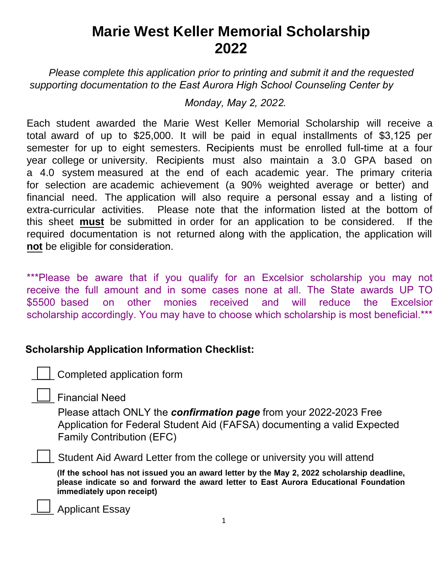# **Marie West Keller Memorial Scholarship 2022**

*Please complete this application prior to printing and submit it and the requested supporting documentation to the East Aurora High School Counseling Center by* 

*Monday, May 2, 2022.*

Each student awarded the Marie West Keller Memorial Scholarship will receive a total award of up to \$25,000. It will be paid in equal installments of \$3,125 per semester for up to eight semesters. Recipients must be enrolled full-time at a four year college or university. Recipients must also maintain a 3.0 GPA based on a 4.0 system measured at the end of each academic year. The primary criteria for selection are academic achievement (a 90% weighted average or better) and financial need. The application will also require a personal essay and a listing of extra-curricular activities. Please note that the information listed at the bottom of this sheet **must** be submitted in order for an application to be considered. If the required documentation is not returned along with the application, the application will **not** be eligible for consideration.

\*\*\*Please be aware that if you qualify for an Excelsior scholarship you may not receive the full amount and in some cases none at all. The State awards UP TO \$5500 based on other monies received and will reduce the Excelsior scholarship accordingly. You may have to choose which scholarship is most beneficial.\*\*\*

# **Scholarship Application Information Checklist:**

| Completed application form

\_\_\_\_ Financial Need

Please attach ONLY the *confirmation page* from your 2022-2023 Free Application for Federal Student Aid (FAFSA) documenting a valid Expected Family Contribution (EFC)

\_\_\_\_ Student Aid Award Letter from the college or university you will attend

**(If the school has not issued you an award letter by the May 2, 2022 scholarship deadline, please indicate so and forward the award letter to East Aurora Educational Foundation immediately upon receipt)**

\_\_\_\_ Applicant Essay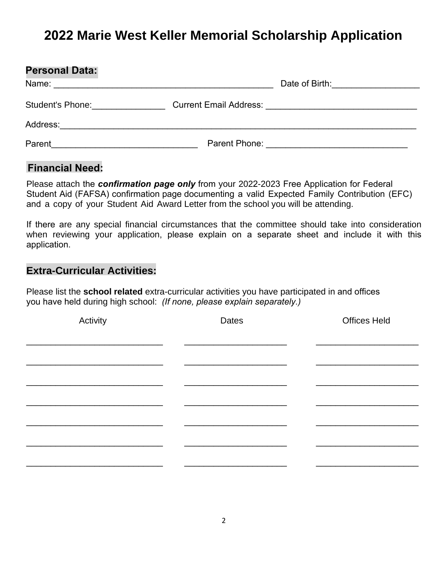# **2022 Marie West Keller Memorial Scholarship Application**

| <b>Personal Data:</b> |               |
|-----------------------|---------------|
|                       |               |
| Student's Phone: 2000 |               |
| Address:              |               |
| Parent                | Parent Phone: |

#### **Financial Need:**

Please attach the *confirmation page only* from your 2022-2023 Free Application for Federal Student Aid (FAFSA) confirmation page documenting a valid Expected Family Contribution (EFC) and a copy of your Student Aid Award Letter from the school you will be attending.

If there are any special financial circumstances that the committee should take into consideration when reviewing your application, please explain on a separate sheet and include it with this application.

### **Extra-Curricular Activities:**

Please list the **school related** extra-curricular activities you have participated in and offices you have held during high school: *(If none, please explain separately.)*

| Activity | Dates | <b>Offices Held</b> |
|----------|-------|---------------------|
|          |       |                     |
|          |       |                     |
|          |       |                     |
|          |       |                     |
|          |       |                     |
|          |       |                     |
|          |       |                     |
|          |       |                     |
|          |       |                     |
|          |       |                     |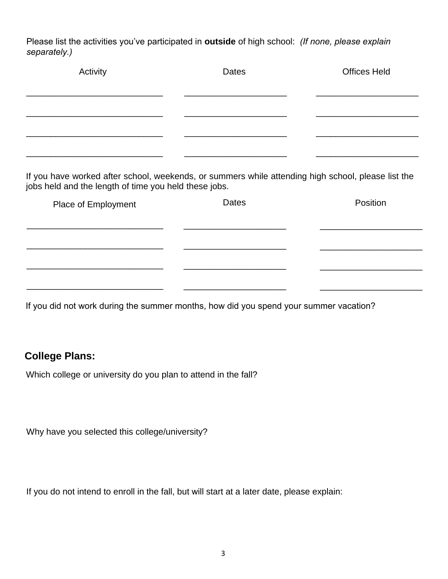Please list the activities you've participated in **outside** of high school: *(If none, please explain separately.)* 

| Activity | Dates | <b>Offices Held</b> |
|----------|-------|---------------------|
|          |       |                     |
|          |       |                     |

If you have worked after school, weekends, or summers while attending high school, please list the jobs held and the length of time you held these jobs.

| Place of Employment | <b>Dates</b> | Position |
|---------------------|--------------|----------|
|                     |              |          |
|                     |              |          |
|                     |              |          |
|                     |              |          |
|                     |              |          |

If you did not work during the summer months, how did you spend your summer vacation?

## **College Plans:**

Which college or university do you plan to attend in the fall?

Why have you selected this college/university?

If you do not intend to enroll in the fall, but will start at a later date, please explain: